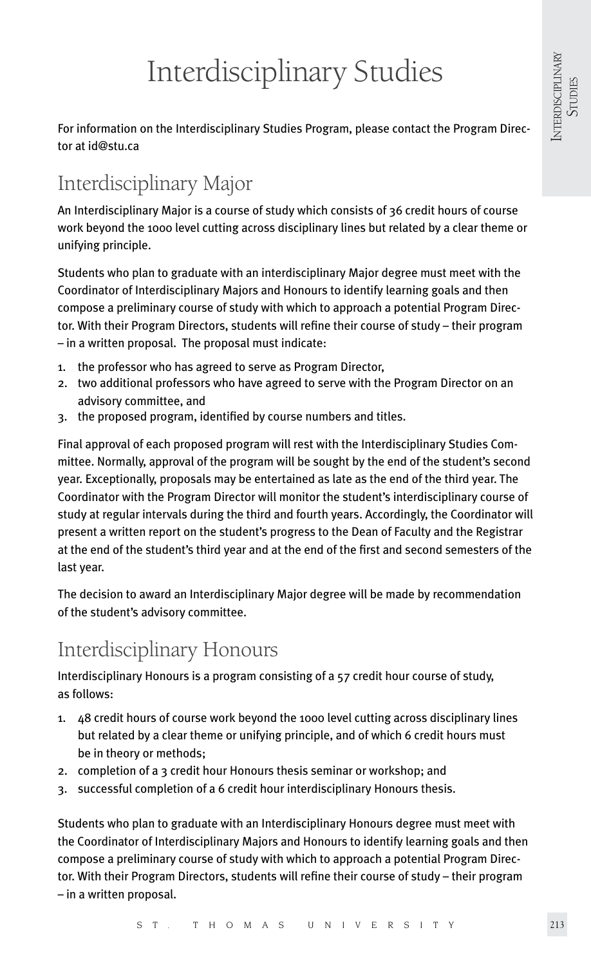# Interdisciplinary Studies

For information on the Interdisciplinary Studies Program, please contact the Program Director at id@stu.ca

# Interdisciplinary Major

An Interdisciplinary Major is a course of study which consists of 36 credit hours of course work beyond the 1000 level cutting across disciplinary lines but related by a clear theme or unifying principle.

Students who plan to graduate with an interdisciplinary Major degree must meet with the Coordinator of Interdisciplinary Majors and Honours to identify learning goals and then compose a preliminary course of study with which to approach a potential Program Director. With their Program Directors, students will refine their course of study – their program – in a written proposal. The proposal must indicate:

- 1. the professor who has agreed to serve as Program Director,
- 2. two additional professors who have agreed to serve with the Program Director on an advisory committee, and
- 3. the proposed program, identified by course numbers and titles.

Final approval of each proposed program will rest with the Interdisciplinary Studies Committee. Normally, approval of the program will be sought by the end of the student's second year. Exceptionally, proposals may be entertained as late as the end of the third year. The Coordinator with the Program Director will monitor the student's interdisciplinary course of study at regular intervals during the third and fourth years. Accordingly, the Coordinator will present a written report on the student's progress to the Dean of Faculty and the Registrar at the end of the student's third year and at the end of the first and second semesters of the last year.

The decision to award an Interdisciplinary Major degree will be made by recommendation of the student's advisory committee.

# Interdisciplinary Honours

Interdisciplinary Honours is a program consisting of a 57 credit hour course of study, as follows:

- 1. 48 credit hours of course work beyond the 1000 level cutting across disciplinary lines but related by a clear theme or unifying principle, and of which 6 credit hours must be in theory or methods;
- 2. completion of a 3 credit hour Honours thesis seminar or workshop; and
- 3. successful completion of a 6 credit hour interdisciplinary Honours thesis.

Students who plan to graduate with an Interdisciplinary Honours degree must meet with the Coordinator of Interdisciplinary Majors and Honours to identify learning goals and then compose a preliminary course of study with which to approach a potential Program Director. With their Program Directors, students will refine their course of study – their program – in a written proposal.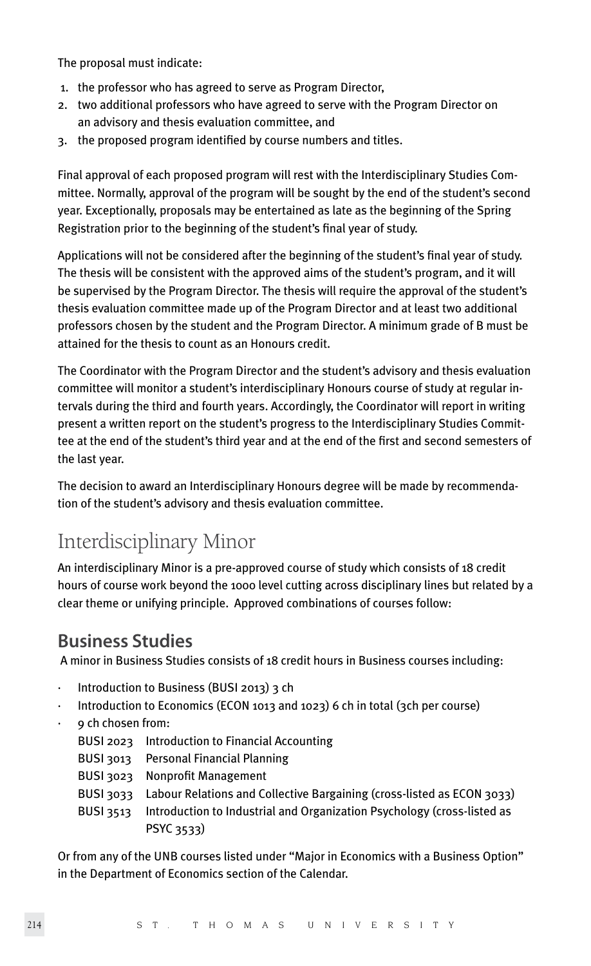The proposal must indicate:

- 1. the professor who has agreed to serve as Program Director,
- 2. two additional professors who have agreed to serve with the Program Director on an advisory and thesis evaluation committee, and
- 3. the proposed program identified by course numbers and titles.

Final approval of each proposed program will rest with the Interdisciplinary Studies Committee. Normally, approval of the program will be sought by the end of the student's second year. Exceptionally, proposals may be entertained as late as the beginning of the Spring Registration prior to the beginning of the student's final year of study.

Applications will not be considered after the beginning of the student's final year of study. The thesis will be consistent with the approved aims of the student's program, and it will be supervised by the Program Director. The thesis will require the approval of the student's thesis evaluation committee made up of the Program Director and at least two additional professors chosen by the student and the Program Director. A minimum grade of B must be attained for the thesis to count as an Honours credit.

The Coordinator with the Program Director and the student's advisory and thesis evaluation committee will monitor a student's interdisciplinary Honours course of study at regular intervals during the third and fourth years. Accordingly, the Coordinator will report in writing present a written report on the student's progress to the Interdisciplinary Studies Committee at the end of the student's third year and at the end of the first and second semesters of the last year.

The decision to award an Interdisciplinary Honours degree will be made by recommendation of the student's advisory and thesis evaluation committee.

# Interdisciplinary Minor

An interdisciplinary Minor is a pre-approved course of study which consists of 18 credit hours of course work beyond the 1000 level cutting across disciplinary lines but related by a clear theme or unifying principle. Approved combinations of courses follow:

### **Business Studies**

A minor in Business Studies consists of 18 credit hours in Business courses including:

- · Introduction to Business (BUSI 2013) 3 ch
- · Introduction to Economics (ECON 1013 and 1023) 6 ch in total (3ch per course)
- · 9 ch chosen from:

| BUSI 2023 Introduction to Financial Accounting                                   |
|----------------------------------------------------------------------------------|
| BUSI 3013 Personal Financial Planning                                            |
| BUSI 3023 Nonprofit Management                                                   |
| BUSI 3033 Labour Relations and Collective Bargaining (cross-listed as ECON 3033) |
| Introduction to Industrial and Organization Psychology (cross-listed as          |
| PSYC 3533)                                                                       |
|                                                                                  |

Or from any of the UNB courses listed under "Major in Economics with a Business Option" in the Department of Economics section of the Calendar.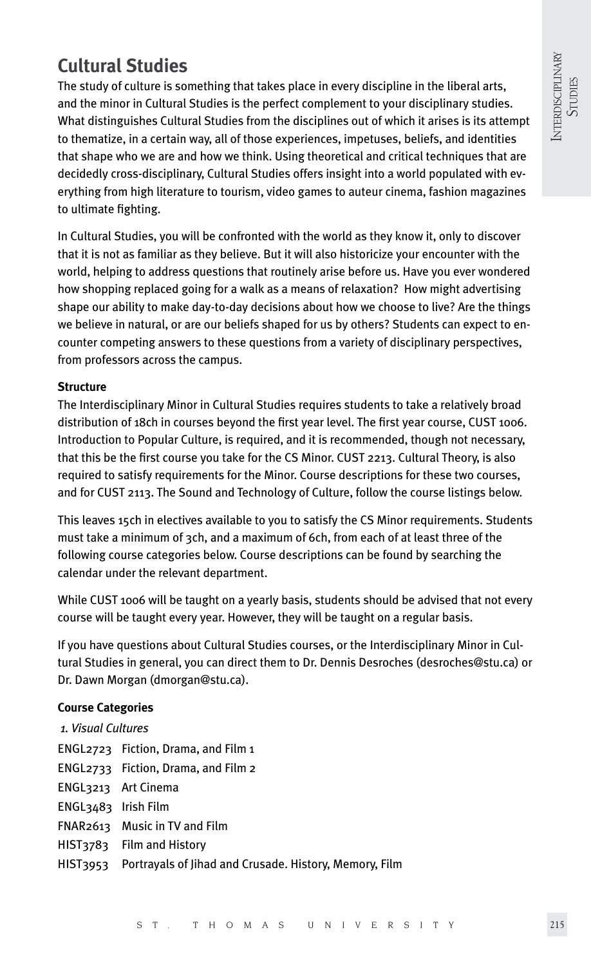# **Cultural Studies**

The study of culture is something that takes place in every discipline in the liberal arts, and the minor in Cultural Studies is the perfect complement to your disciplinary studies. What distinguishes Cultural Studies from the disciplines out of which it arises is its attempt to thematize, in a certain way, all of those experiences, impetuses, beliefs, and identities that shape who we are and how we think. Using theoretical and critical techniques that are decidedly cross-disciplinary, Cultural Studies offers insight into a world populated with everything from high literature to tourism, video games to auteur cinema, fashion magazines to ultimate fighting.

In Cultural Studies, you will be confronted with the world as they know it, only to discover that it is not as familiar as they believe. But it will also historicize your encounter with the world, helping to address questions that routinely arise before us. Have you ever wondered how shopping replaced going for a walk as a means of relaxation? How might advertising shape our ability to make day-to-day decisions about how we choose to live? Are the things we believe in natural, or are our beliefs shaped for us by others? Students can expect to encounter competing answers to these questions from a variety of disciplinary perspectives, from professors across the campus.

#### **Structure**

The Interdisciplinary Minor in Cultural Studies requires students to take a relatively broad distribution of 18ch in courses beyond the first year level. The first year course, CUST 1006. Introduction to Popular Culture, is required, and it is recommended, though not necessary, that this be the first course you take for the CS Minor. CUST 2213. Cultural Theory, is also required to satisfy requirements for the Minor. Course descriptions for these two courses, and for CUST 2113. The Sound and Technology of Culture, follow the course listings below.

This leaves 15ch in electives available to you to satisfy the CS Minor requirements. Students must take a minimum of 3ch, and a maximum of 6ch, from each of at least three of the following course categories below. Course descriptions can be found by searching the calendar under the relevant department.

While CUST 1006 will be taught on a yearly basis, students should be advised that not every course will be taught every year. However, they will be taught on a regular basis.

If you have questions about Cultural Studies courses, or the Interdisciplinary Minor in Cultural Studies in general, you can direct them to Dr. Dennis Desroches (desroches@stu.ca) or Dr. Dawn Morgan (dmorgan@stu.ca).

### **Course Categories**

| 1. Visual Cultures  |                                                                 |  |  |  |
|---------------------|-----------------------------------------------------------------|--|--|--|
|                     | ENGL2723 Fiction, Drama, and Film 1                             |  |  |  |
|                     | ENGL2733 Fiction, Drama, and Film 2                             |  |  |  |
|                     | ENGL3213 Art Cinema                                             |  |  |  |
| ENGL3483 Irish Film |                                                                 |  |  |  |
|                     | FNAR2613 Music in TV and Film                                   |  |  |  |
|                     | HIST3783 Film and History                                       |  |  |  |
|                     | HIST3953 Portravals of Jihad and Crusade. History, Memory, Film |  |  |  |
|                     |                                                                 |  |  |  |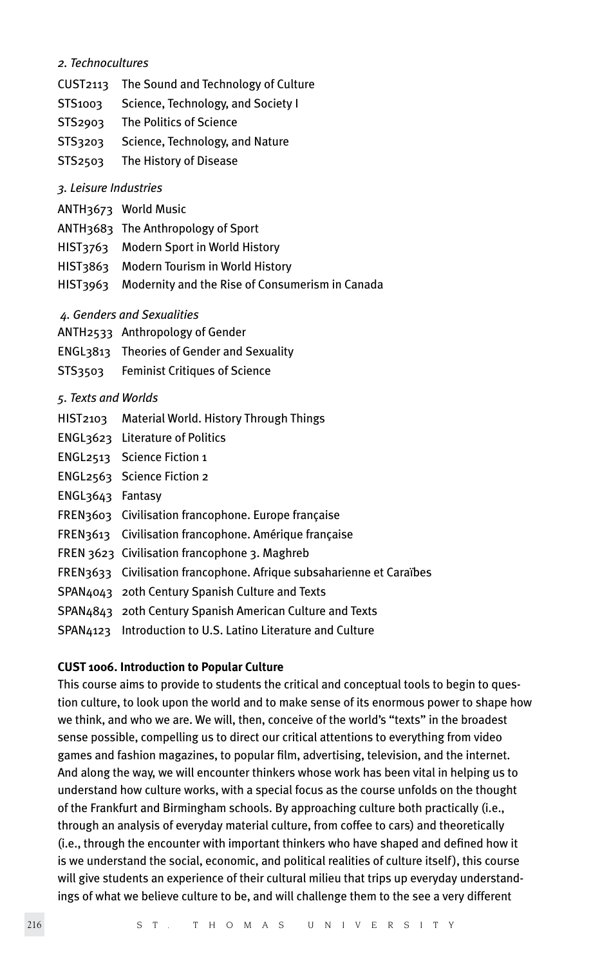#### *2. Technocultures*

- CUST2113 The Sound and Technology of Culture
- STS1003 Science, Technology, and Society I
- STS2903 The Politics of Science
- STS3203 Science, Technology, and Nature
- STS2503 The History of Disease

#### *3. Leisure Industries*

- ANTH3673 World Music
- ANTH3683 The Anthropology of Sport
- HIST3763 Modern Sport in World History
- HIST3863 Modern Tourism in World History
- HIST3963 Modernity and the Rise of Consumerism in Canada
- *4. Genders and Sexualities*
- ANTH2533 Anthropology of Gender
- ENGL3813 Theories of Gender and Sexuality
- STS3503 Feminist Critiques of Science

#### *5. Texts and Worlds*

- HIST2103 Material World. History Through Things
- ENGL3623 Literature of Politics
- ENGL2513 Science Fiction 1
- ENGL2563 Science Fiction 2
- ENGL3643 Fantasy
- FREN3603 Civilisation francophone. Europe française
- FREN3613 Civilisation francophone. Amérique française
- FREN 3623 Civilisation francophone 3. Maghreb
- FREN3633 Civilisation francophone. Afrique subsaharienne et Caraïbes
- SPAN4043 20th Century Spanish Culture and Texts
- SPAN4843 20th Century Spanish American Culture and Texts
- SPAN4123 Introduction to U.S. Latino Literature and Culture

#### **CUST 1006. Introduction to Popular Culture**

This course aims to provide to students the critical and conceptual tools to begin to question culture, to look upon the world and to make sense of its enormous power to shape how we think, and who we are. We will, then, conceive of the world's "texts" in the broadest sense possible, compelling us to direct our critical attentions to everything from video games and fashion magazines, to popular film, advertising, television, and the internet. And along the way, we will encounter thinkers whose work has been vital in helping us to understand how culture works, with a special focus as the course unfolds on the thought of the Frankfurt and Birmingham schools. By approaching culture both practically (i.e., through an analysis of everyday material culture, from coffee to cars) and theoretically (i.e., through the encounter with important thinkers who have shaped and defined how it is we understand the social, economic, and political realities of culture itself), this course will give students an experience of their cultural milieu that trips up everyday understandings of what we believe culture to be, and will challenge them to the see a very different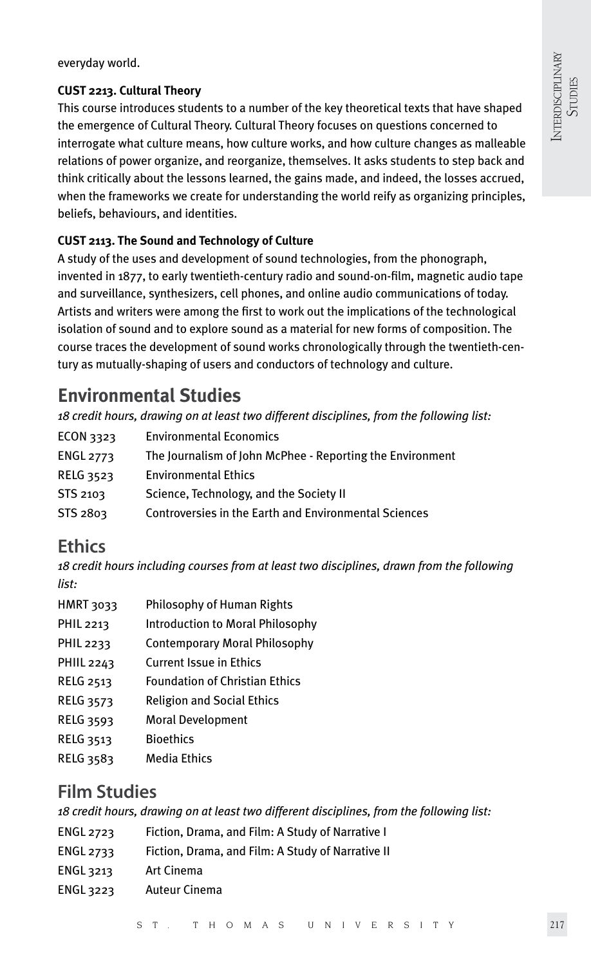everyday world.

### **CUST 2213. Cultural Theory**

This course introduces students to a number of the key theoretical texts that have shaped the emergence of Cultural Theory. Cultural Theory focuses on questions concerned to interrogate what culture means, how culture works, and how culture changes as malleable relations of power organize, and reorganize, themselves. It asks students to step back and think critically about the lessons learned, the gains made, and indeed, the losses accrued, when the frameworks we create for understanding the world reify as organizing principles, beliefs, behaviours, and identities.

### **CUST 2113. The Sound and Technology of Culture**

A study of the uses and development of sound technologies, from the phonograph, invented in 1877, to early twentieth-century radio and sound-on-film, magnetic audio tape and surveillance, synthesizers, cell phones, and online audio communications of today. Artists and writers were among the first to work out the implications of the technological isolation of sound and to explore sound as a material for new forms of composition. The course traces the development of sound works chronologically through the twentieth-century as mutually-shaping of users and conductors of technology and culture.

### **Environmental Studies**

*18 credit hours, drawing on at least two different disciplines, from the following list:*

| ECON 3323        | <b>Environmental Economics</b>                            |
|------------------|-----------------------------------------------------------|
| <b>ENGL 2773</b> | The Journalism of John McPhee - Reporting the Environment |
| <b>RELG 3523</b> | <b>Environmental Ethics</b>                               |
| STS 2103         | Science, Technology, and the Society II                   |
| STS 2803         | Controversies in the Earth and Environmental Sciences     |
|                  |                                                           |

### **Ethics**

*18 credit hours including courses from at least two disciplines, drawn from the following list:*

| HMRT 3033  | Philosophy of Human Rights              |
|------------|-----------------------------------------|
| PHIL 2213  | <b>Introduction to Moral Philosophy</b> |
| PHIL 2233  | <b>Contemporary Moral Philosophy</b>    |
| PHIIL 2243 | <b>Current Issue in Ethics</b>          |

- RELG 2513 Foundation of Christian Ethics
- RELG 3573 Religion and Social Ethics
- RELG 3593 Moral Development
- RELG 3513 Bioethics
- RELG 3583 Media Ethics

### **Film Studies**

*18 credit hours, drawing on at least two different disciplines, from the following list:*

- ENGL 2723 Fiction, Drama, and Film: A Study of Narrative I
- ENGL 2733 Fiction, Drama, and Film: A Study of Narrative II
- ENGL 3213 Art Cinema
- ENGL 3223 Auteur Cinema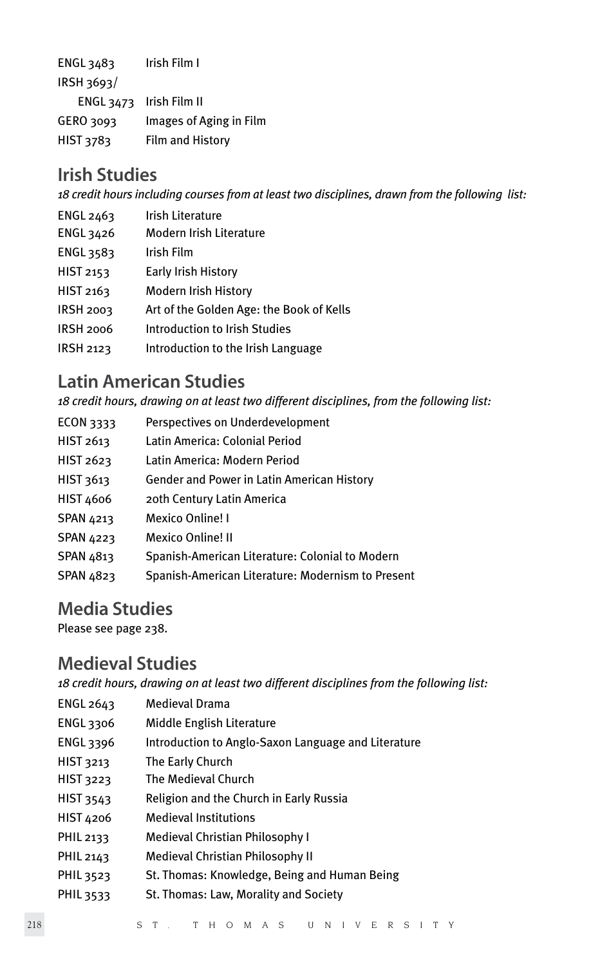ENGL 3483 Irish Film I IRSH 3693/ ENGL 3473 Irish Film II GERO 3093 Images of Aging in Film HIST 3783 Film and History

### **Irish Studies**

*18 credit hours including courses from at least two disciplines, drawn from the following list:*

- ENGL 2463 Irish Literature ENGL 3426 Modern Irish Literature ENGL 3583 Irish Film HIST 2153 Early Irish History HIST 2163 Modern Irish History IRSH 2003 Art of the Golden Age: the Book of Kells IRSH 2006 Introduction to Irish Studies
- IRSH 2123 Introduction to the Irish Language

### **Latin American Studies**

*18 credit hours, drawing on at least two different disciplines, from the following list:*

ECON 3333 Perspectives on Underdevelopment HIST 2613 Latin America: Colonial Period HIST 2623 Latin America: Modern Period HIST 3613 Gender and Power in Latin American History HIST 4606 20th Century Latin America SPAN 4213 Mexico Online! I SPAN 4223 Mexico Online! II SPAN 4813 Spanish-American Literature: Colonial to Modern SPAN 4823 Spanish-American Literature: Modernism to Present

### **Media Studies**

Please see page 238.

### **Medieval Studies**

*18 credit hours, drawing on at least two different disciplines from the following list:*

| ENGL 2643 | <b>Medieval Drama</b>                               |
|-----------|-----------------------------------------------------|
| ENGL 3306 | Middle English Literature                           |
| ENGL 3396 | Introduction to Anglo-Saxon Language and Literature |
| HIST 3213 | The Early Church                                    |
| HIST 3223 | The Medieval Church                                 |
| HIST 3543 | Religion and the Church in Early Russia             |
| HIST 4206 | <b>Medieval Institutions</b>                        |
| PHIL 2133 | Medieval Christian Philosophy I                     |
| PHIL 2143 | Medieval Christian Philosophy II                    |
| PHIL 3523 | St. Thomas: Knowledge, Being and Human Being        |
| PHIL 3533 | St. Thomas: Law, Morality and Society               |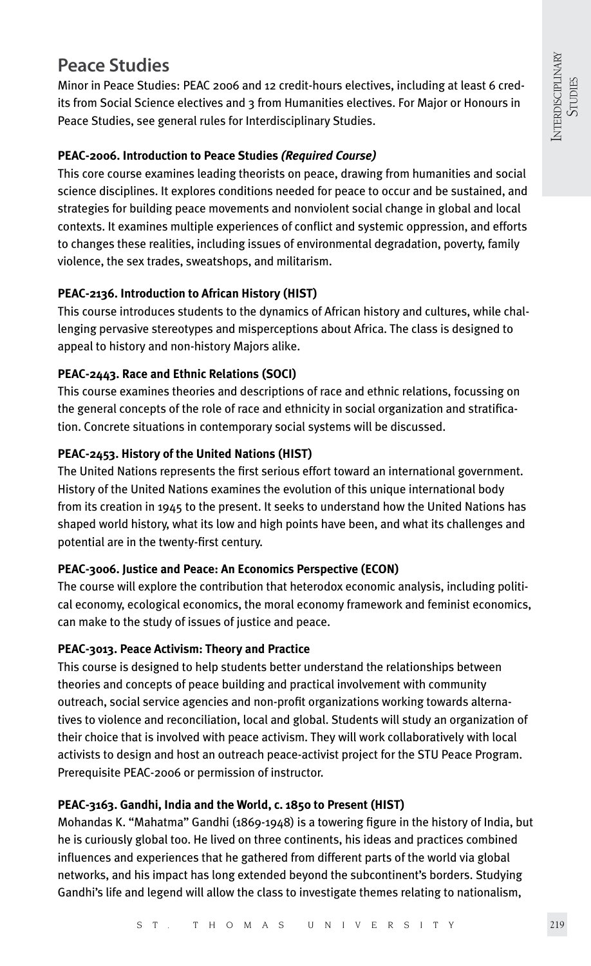### **Peace Studies**

Minor in Peace Studies: PEAC 2006 and 12 credit-hours electives, including at least 6 credits from Social Science electives and 3 from Humanities electives. For Major or Honours in Peace Studies, see general rules for Interdisciplinary Studies.

### **PEAC-2006. Introduction to Peace Studies** *(Required Course)*

This core course examines leading theorists on peace, drawing from humanities and social science disciplines. It explores conditions needed for peace to occur and be sustained, and strategies for building peace movements and nonviolent social change in global and local contexts. It examines multiple experiences of conflict and systemic oppression, and efforts to changes these realities, including issues of environmental degradation, poverty, family violence, the sex trades, sweatshops, and militarism.

### **PEAC-2136. Introduction to African History (HIST)**

This course introduces students to the dynamics of African history and cultures, while challenging pervasive stereotypes and misperceptions about Africa. The class is designed to appeal to history and non-history Majors alike.

### **PEAC-2443. Race and Ethnic Relations (SOCI)**

This course examines theories and descriptions of race and ethnic relations, focussing on the general concepts of the role of race and ethnicity in social organization and stratification. Concrete situations in contemporary social systems will be discussed.

### **PEAC-2453. History of the United Nations (HIST)**

The United Nations represents the first serious effort toward an international government. History of the United Nations examines the evolution of this unique international body from its creation in 1945 to the present. It seeks to understand how the United Nations has shaped world history, what its low and high points have been, and what its challenges and potential are in the twenty-first century.

### **PEAC-3006. Justice and Peace: An Economics Perspective (ECON)**

The course will explore the contribution that heterodox economic analysis, including political economy, ecological economics, the moral economy framework and feminist economics, can make to the study of issues of justice and peace.

### **PEAC-3013. Peace Activism: Theory and Practice**

This course is designed to help students better understand the relationships between theories and concepts of peace building and practical involvement with community outreach, social service agencies and non-profit organizations working towards alternatives to violence and reconciliation, local and global. Students will study an organization of their choice that is involved with peace activism. They will work collaboratively with local activists to design and host an outreach peace-activist project for the STU Peace Program. Prerequisite PEAC-2006 or permission of instructor.

### **PEAC-3163. Gandhi, India and the World, c. 1850 to Present (HIST)**

Mohandas K. "Mahatma" Gandhi (1869-1948) is a towering figure in the history of India, but he is curiously global too. He lived on three continents, his ideas and practices combined influences and experiences that he gathered from different parts of the world via global networks, and his impact has long extended beyond the subcontinent's borders. Studying Gandhi's life and legend will allow the class to investigate themes relating to nationalism,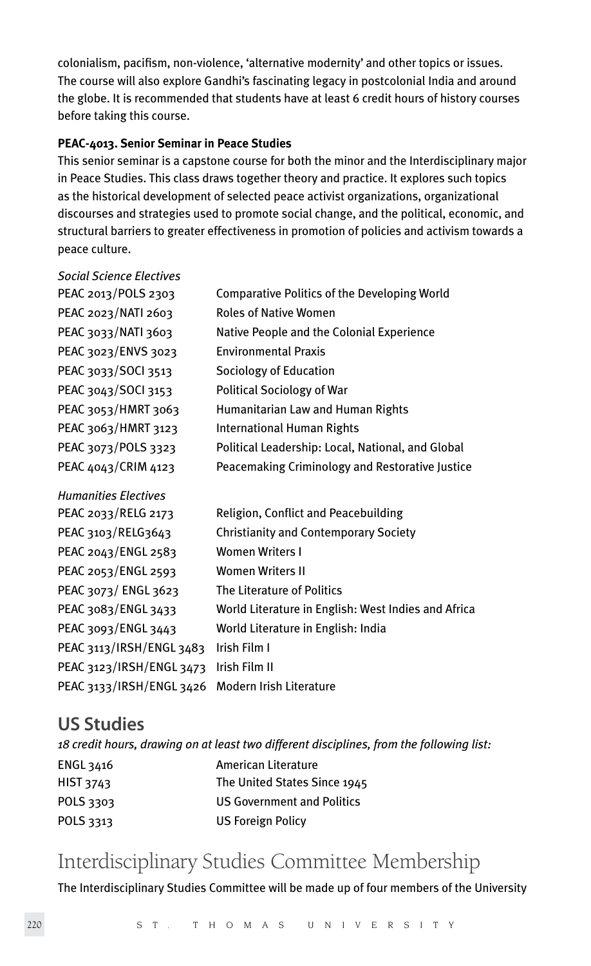colonialism, pacifism, non-violence, 'alternative modernity' and other topics or issues. The course will also explore Gandhi's fascinating legacy in postcolonial India and around the globe. It is recommended that students have at least 6 credit hours of history courses before taking this course.

#### **PEAC-4013. Senior Seminar in Peace Studies**

This senior seminar is a capstone course for both the minor and the Interdisciplinary major in Peace Studies. This class draws together theory and practice. It explores such topics as the historical development of selected peace activist organizations, organizational discourses and strategies used to promote social change, and the political, economic, and structural barriers to greater effectiveness in promotion of policies and activism towards a peace culture.

| <b>Social Science Electives</b> |                                                     |
|---------------------------------|-----------------------------------------------------|
| PEAC 2013/POLS 2303             | Comparative Politics of the Developing World        |
| PEAC 2023/NATI 2603             | <b>Roles of Native Women</b>                        |
| PEAC 3033/NATI 3603             | Native People and the Colonial Experience           |
| PEAC 3023/ENVS 3023             | <b>Environmental Praxis</b>                         |
| PEAC 3033/SOCI 3513             | Sociology of Education                              |
| PEAC 3043/SOCI 3153             | Political Sociology of War                          |
| PEAC 3053/HMRT 3063             | Humanitarian Law and Human Rights                   |
| PEAC 3063/HMRT 3123             | International Human Rights                          |
| PEAC 3073/POLS 3323             | Political Leadership: Local, National, and Global   |
| PEAC 4043/CRIM 4123             | Peacemaking Criminology and Restorative Justice     |
| <b>Humanities Electives</b>     |                                                     |
| PEAC 2033/RELG 2173             | Religion, Conflict and Peacebuilding                |
| PEAC 3103/RELG3643              | <b>Christianity and Contemporary Society</b>        |
| PEAC 2043/ENGL 2583             | <b>Women Writers I</b>                              |
| PEAC 2053/ENGL 2593             | <b>Women Writers II</b>                             |
| PEAC 3073/ ENGL 3623            | The Literature of Politics                          |
| PEAC 3083/ENGL 3433             | World Literature in English: West Indies and Africa |
| PEAC 3093/ENGL 3443             | World Literature in English: India                  |
| PEAC 3113/IRSH/ENGL 3483        | Irish Film I                                        |
| PEAC 3123/IRSH/ENGL 3473        | Irish Film II                                       |
| PEAC 3133/IRSH/ENGL 3426        | Modern Irish Literature                             |

### **US Studies**

|                  | 18 credit hours, drawing on at least two different disciplines, from the following list: |
|------------------|------------------------------------------------------------------------------------------|
| ENGL 3416        | American Literature                                                                      |
| <b>HIST 3743</b> | The United States Since 1945                                                             |
| POLS 3303        | <b>US Government and Politics</b>                                                        |
| POLS 3313        | <b>US Foreign Policy</b>                                                                 |
|                  |                                                                                          |

# Interdisciplinary Studies Committee Membership

The Interdisciplinary Studies Committee will be made up of four members of the University